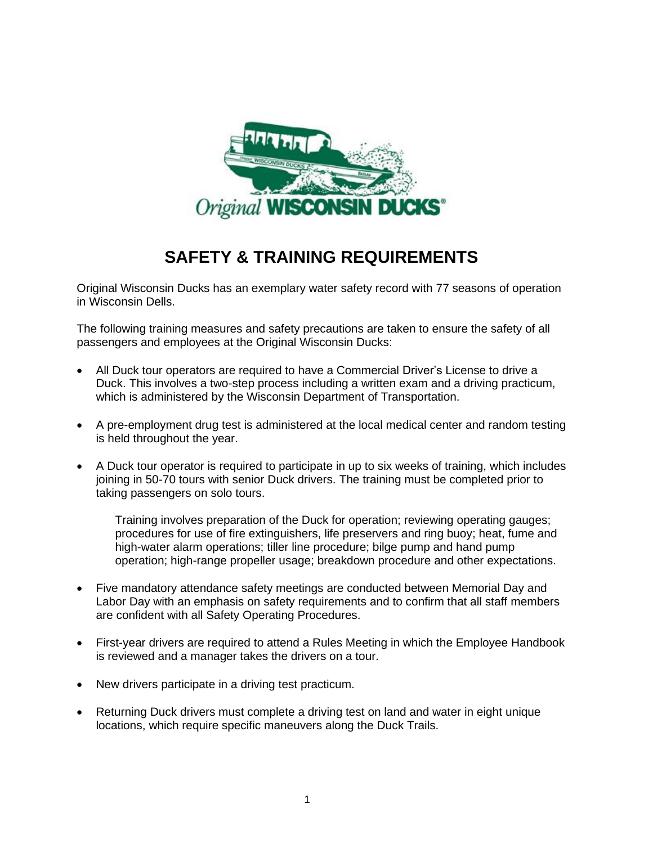

## **SAFETY & TRAINING REQUIREMENTS**

Original Wisconsin Ducks has an exemplary water safety record with 77 seasons of operation in Wisconsin Dells.

The following training measures and safety precautions are taken to ensure the safety of all passengers and employees at the Original Wisconsin Ducks:

- All Duck tour operators are required to have a Commercial Driver's License to drive a Duck. This involves a two-step process including a written exam and a driving practicum, which is administered by the Wisconsin Department of Transportation.
- A pre-employment drug test is administered at the local medical center and random testing is held throughout the year.
- A Duck tour operator is required to participate in up to six weeks of training, which includes joining in 50-70 tours with senior Duck drivers. The training must be completed prior to taking passengers on solo tours.

Training involves preparation of the Duck for operation; reviewing operating gauges; procedures for use of fire extinguishers, life preservers and ring buoy; heat, fume and high-water alarm operations; tiller line procedure; bilge pump and hand pump operation; high-range propeller usage; breakdown procedure and other expectations.

- Five mandatory attendance safety meetings are conducted between Memorial Day and Labor Day with an emphasis on safety requirements and to confirm that all staff members are confident with all Safety Operating Procedures.
- First-year drivers are required to attend a Rules Meeting in which the Employee Handbook is reviewed and a manager takes the drivers on a tour.
- New drivers participate in a driving test practicum.
- Returning Duck drivers must complete a driving test on land and water in eight unique locations, which require specific maneuvers along the Duck Trails.